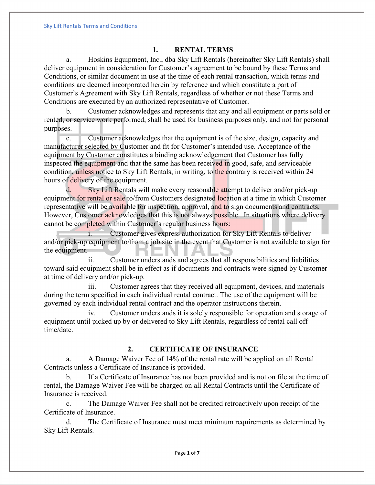### **1. RENTAL TERMS**

a. Hoskins Equipment, Inc., dba Sky Lift Rentals (hereinafter Sky Lift Rentals) shall deliver equipment in consideration for Customer's agreement to be bound by these Terms and Conditions, or similar document in use at the time of each rental transaction, which terms and conditions are deemed incorporated herein by reference and which constitute a part of Customer's Agreement with Sky Lift Rentals, regardless of whether or not these Terms and Conditions are executed by an authorized representative of Customer.

b. Customer acknowledges and represents that any and all equipment or parts sold or rented, or service work performed, shall be used for business purposes only, and not for personal purposes.

c. Customer acknowledges that the equipment is of the size, design, capacity and manufacturer selected by Customer and fit for Customer's intended use. Acceptance of the equipment by Customer constitutes a binding acknowledgement that Customer has fully inspected the equipment and that the same has been received in good, safe, and serviceable condition, unless notice to Sky Lift Rentals, in writing, to the contrary is received within 24 hours of delivery of the equipment.

d. Sky Lift Rentals will make every reasonable attempt to deliver and/or pick-up equipment for rental or sale to/from Customers designated location at a time in which Customer representative will be available for inspection, approval, and to sign documents and contracts. However, Customer acknowledges that this is not always possible. In situations where delivery cannot be completed within Customer's regular business hours:

i. Customer gives express authorization for Sky Lift Rentals to deliver and/or pick-up equipment to/from a job site in the event that Customer is not available to sign for the equipment.

ii. Customer understands and agrees that all responsibilities and liabilities toward said equipment shall be in effect as if documents and contracts were signed by Customer at time of delivery and/or pick-up.

iii. Customer agrees that they received all equipment, devices, and materials during the term specified in each individual rental contract. The use of the equipment will be governed by each individual rental contract and the operator instructions therein.

iv. Customer understands it is solely responsible for operation and storage of equipment until picked up by or delivered to Sky Lift Rentals, regardless of rental call off time/date.

#### **2. CERTIFICATE OF INSURANCE**

a. A Damage Waiver Fee of 14% of the rental rate will be applied on all Rental Contracts unless a Certificate of Insurance is provided.

b. If a Certificate of Insurance has not been provided and is not on file at the time of rental, the Damage Waiver Fee will be charged on all Rental Contracts until the Certificate of Insurance is received.

c. The Damage Waiver Fee shall not be credited retroactively upon receipt of the Certificate of Insurance.

d. The Certificate of Insurance must meet minimum requirements as determined by Sky Lift Rentals.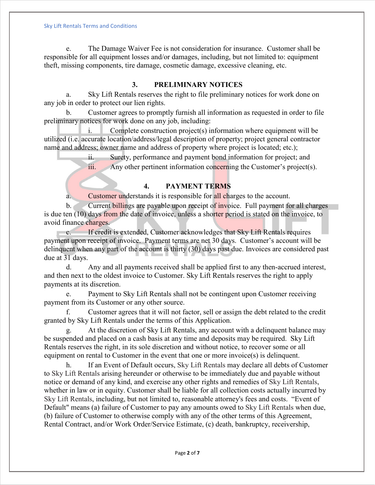e. The Damage Waiver Fee is not consideration for insurance. Customer shall be responsible for all equipment losses and/or damages, including, but not limited to: equipment theft, missing components, tire damage, cosmetic damage, excessive cleaning, etc.

## **3. PRELIMINARY NOTICES**

a. Sky Lift Rentals reserves the right to file preliminary notices for work done on any job in order to protect our lien rights.

b. Customer agrees to promptly furnish all information as requested in order to file preliminary notices for work done on any job, including:

i. Complete construction project(s) information where equipment will be utilized (i.e. accurate location/address/legal description of property; project general contractor name and address; owner name and address of property where project is located; etc.);

> ii. Surety, performance and payment bond information for project; and iii. Any other pertinent information concerning the Customer's project(s).

### **4. PAYMENT TERMS**

a. Customer understands it is responsible for all charges to the account.

b. Current billings are payable upon receipt of invoice. Full payment for all charges is due ten (10) days from the date of invoice, unless a shorter period is stated on the invoice, to avoid finance charges.

c. If credit is extended, Customer acknowledges that Sky Lift Rentals requires payment upon receipt of invoice. Payment terms are net 30 days. Customer's account will be delinquent when any part of the account is thirty (30) days past due. Invoices are considered past due at 31 days.

d. Any and all payments received shall be applied first to any then-accrued interest, and then next to the oldest invoice to Customer. Sky Lift Rentals reserves the right to apply payments at its discretion.

e. Payment to Sky Lift Rentals shall not be contingent upon Customer receiving payment from its Customer or any other source.

f. Customer agrees that it will not factor, sell or assign the debt related to the credit granted by Sky Lift Rentals under the terms of this Application.

g. At the discretion of Sky Lift Rentals, any account with a delinquent balance may be suspended and placed on a cash basis at any time and deposits may be required. Sky Lift Rentals reserves the right, in its sole discretion and without notice, to recover some or all equipment on rental to Customer in the event that one or more invoice(s) is delinquent.

h. If an Event of Default occurs, Sky Lift Rentals may declare all debts of Customer to Sky Lift Rentals arising hereunder or otherwise to be immediately due and payable without notice or demand of any kind, and exercise any other rights and remedies of Sky Lift Rentals, whether in law or in equity. Customer shall be liable for all collection costs actually incurred by Sky Lift Rentals, including, but not limited to, reasonable attorney's fees and costs. "Event of Default" means (a) failure of Customer to pay any amounts owed to Sky Lift Rentals when due, (b) failure of Customer to otherwise comply with any of the other terms of this Agreement, Rental Contract, and/or Work Order/Service Estimate, (c) death, bankruptcy, receivership,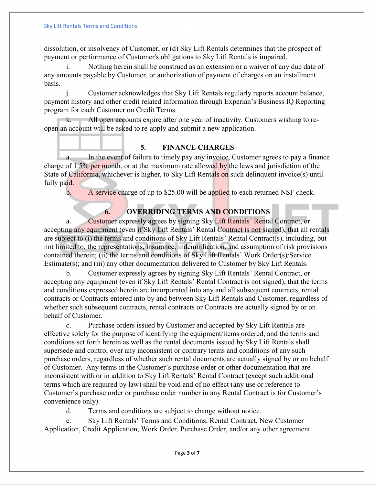dissolution, or insolvency of Customer, or (d) Sky Lift Rentals determines that the prospect of payment or performance of Customer's obligations to Sky Lift Rentals is impaired.

i. Nothing herein shall be construed as an extension or a waiver of any due date of any amounts payable by Customer, or authorization of payment of charges on an installment basis.

j. Customer acknowledges that Sky Lift Rentals regularly reports account balance, payment history and other credit related information through Experian's Business IQ Reporting program for each Customer on Credit Terms.

k. All open accounts expire after one year of inactivity. Customers wishing to reopen an account will be asked to re-apply and submit a new application.

### **5. FINANCE CHARGES**

a. In the event of failure to timely pay any invoice, Customer agrees to pay a finance charge of  $1.5\%$  per month, or at the maximum rate allowed by the laws and jurisdiction of the State of California, whichever is higher, to Sky Lift Rentals on such delinquent invoice(s) until fully paid.

b. A service charge of up to \$25.00 will be applied to each returned NSF check.

# **6. OVERRIDING TERMS AND CONDITIONS**

a. Customer expressly agrees by signing Sky Lift Rentals' Rental Contract, or accepting any equipment (even if Sky Lift Rentals' Rental Contract is not signed), that all rentals are subject to (i) the terms and conditions of Sky Lift Rentals' Rental Contract(s), including, but not limited to, the representations, insurance, indemnification, and assumption of risk provisions contained therein; (ii) the terms and conditions of Sky Lift Rentals' Work Order(s)/Service Estimate(s); and (iii) any other documentation delivered to Customer by Sky Lift Rentals.

b. Customer expressly agrees by signing Sky Lift Rentals' Rental Contract, or accepting any equipment (even if Sky Lift Rentals' Rental Contract is not signed), that the terms and conditions expressed herein are incorporated into any and all subsequent contracts, rental contracts or Contracts entered into by and between Sky Lift Rentals and Customer, regardless of whether such subsequent contracts, rental contracts or Contracts are actually signed by or on behalf of Customer.

c. Purchase orders issued by Customer and accepted by Sky Lift Rentals are effective solely for the purpose of identifying the equipment/items ordered, and the terms and conditions set forth herein as well as the rental documents issued by Sky Lift Rentals shall supersede and control over any inconsistent or contrary terms and conditions of any such purchase orders, regardless of whether such rental documents are actually signed by or on behalf of Customer. Any terms in the Customer's purchase order or other documentation that are inconsistent with or in addition to Sky Lift Rentals' Rental Contract (except such additional terms which are required by law) shall be void and of no effect (any use or reference to Customer's purchase order or purchase order number in any Rental Contract is for Customer's convenience only).

d. Terms and conditions are subject to change without notice.

e. Sky Lift Rentals' Terms and Conditions, Rental Contract, New Customer Application, Credit Application, Work Order, Purchase Order, and/or any other agreement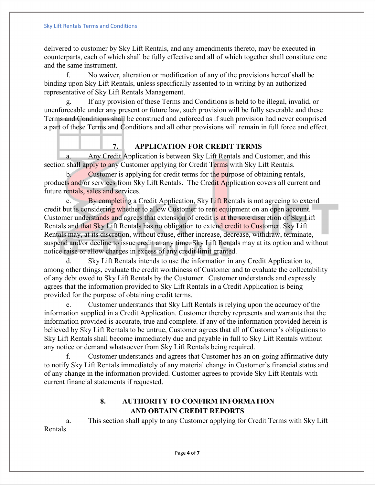delivered to customer by Sky Lift Rentals, and any amendments thereto, may be executed in counterparts, each of which shall be fully effective and all of which together shall constitute one and the same instrument.

No waiver, alteration or modification of any of the provisions hereof shall be binding upon Sky Lift Rentals, unless specifically assented to in writing by an authorized representative of Sky Lift Rentals Management.

g. If any provision of these Terms and Conditions is held to be illegal, invalid, or unenforceable under any present or future law, such provision will be fully severable and these Terms and Conditions shall be construed and enforced as if such provision had never comprised a part of these Terms and Conditions and all other provisions will remain in full force and effect.

# **7. APPLICATION FOR CREDIT TERMS**

a. Any Credit Application is between Sky Lift Rentals and Customer, and this section shall apply to any Customer applying for Credit Terms with Sky Lift Rentals.

b. Customer is applying for credit terms for the purpose of obtaining rentals, products and/or services from Sky Lift Rentals. The Credit Application covers all current and future rentals, sales and services.

c. By completing a Credit Application, Sky Lift Rentals is not agreeing to extend credit but is considering whether to allow Customer to rent equipment on an open account. Customer understands and agrees that extension of credit is at the sole discretion of Sky Lift Rentals and that Sky Lift Rentals has no obligation to extend credit to Customer. Sky Lift Rentals may, at its discretion, without cause, either increase, decrease, withdraw, terminate, suspend and/or decline to issue credit at any time. Sky Lift Rentals may at its option and without notice raise or allow charges in excess of any credit limit granted.

d. Sky Lift Rentals intends to use the information in any Credit Application to, among other things, evaluate the credit worthiness of Customer and to evaluate the collectability of any debt owed to Sky Lift Rentals by the Customer. Customer understands and expressly agrees that the information provided to Sky Lift Rentals in a Credit Application is being provided for the purpose of obtaining credit terms.

e. Customer understands that Sky Lift Rentals is relying upon the accuracy of the information supplied in a Credit Application. Customer thereby represents and warrants that the information provided is accurate, true and complete. If any of the information provided herein is believed by Sky Lift Rentals to be untrue, Customer agrees that all of Customer's obligations to Sky Lift Rentals shall become immediately due and payable in full to Sky Lift Rentals without any notice or demand whatsoever from Sky Lift Rentals being required.

f. Customer understands and agrees that Customer has an on-going affirmative duty to notify Sky Lift Rentals immediately of any material change in Customer's financial status and of any change in the information provided. Customer agrees to provide Sky Lift Rentals with current financial statements if requested.

# **8. AUTHORITY TO CONFIRM INFORMATION AND OBTAIN CREDIT REPORTS**

a. This section shall apply to any Customer applying for Credit Terms with Sky Lift Rentals.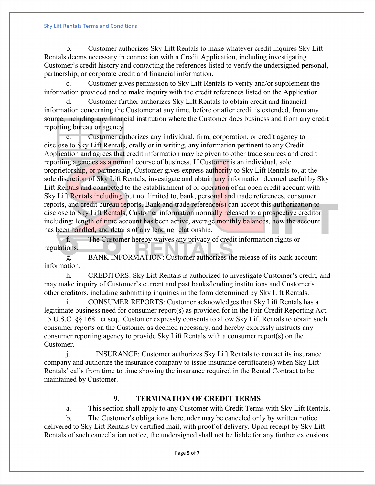#### Sky Lift Rentals Terms and Conditions

b. Customer authorizes Sky Lift Rentals to make whatever credit inquires Sky Lift Rentals deems necessary in connection with a Credit Application, including investigating Customer's credit history and contacting the references listed to verify the undersigned personal, partnership, or corporate credit and financial information.

Customer gives permission to Sky Lift Rentals to verify and/or supplement the information provided and to make inquiry with the credit references listed on the Application.

d. Customer further authorizes Sky Lift Rentals to obtain credit and financial information concerning the Customer at any time, before or after credit is extended, from any source, including any financial institution where the Customer does business and from any credit reporting bureau or agency.

e. Customer authorizes any individual, firm, corporation, or credit agency to disclose to Sky Lift Rentals, orally or in writing, any information pertinent to any Credit Application and agrees that credit information may be given to other trade sources and credit reporting agencies as a normal course of business. If Customer is an individual, sole proprietorship, or partnership, Customer gives express authority to Sky Lift Rentals to, at the sole discretion of Sky Lift Rentals, investigate and obtain any information deemed useful by Sky Lift Rentals and connected to the establishment of or operation of an open credit account with Sky Lift Rentals including, but not limited to, bank, personal and trade references, consumer reports, and credit bureau reports. Bank and trade reference(s) can accept this authorization to disclose to Sky Lift Rentals, Customer information normally released to a prospective creditor including: length of time account has been active, average monthly balances, how the account has been handled, and details of any lending relationship.

f. The Customer hereby waives any privacy of credit information rights or regulations.

g. BANK INFORMATION: Customer authorizes the release of its bank account information.

h. CREDITORS: Sky Lift Rentals is authorized to investigate Customer's credit, and may make inquiry of Customer's current and past banks/lending institutions and Customer's other creditors, including submitting inquiries in the form determined by Sky Lift Rentals.

i. CONSUMER REPORTS: Customer acknowledges that Sky Lift Rentals has a legitimate business need for consumer report(s) as provided for in the Fair Credit Reporting Act, 15 U.S.C. §§ 1681 et seq. Customer expressly consents to allow Sky Lift Rentals to obtain such consumer reports on the Customer as deemed necessary, and hereby expressly instructs any consumer reporting agency to provide Sky Lift Rentals with a consumer report(s) on the Customer.

j. INSURANCE: Customer authorizes Sky Lift Rentals to contact its insurance company and authorize the insurance company to issue insurance certificate(s) when Sky Lift Rentals' calls from time to time showing the insurance required in the Rental Contract to be maintained by Customer.

## **9. TERMINATION OF CREDIT TERMS**

a. This section shall apply to any Customer with Credit Terms with Sky Lift Rentals.

b. The Customer's obligations hereunder may be canceled only by written notice delivered to Sky Lift Rentals by certified mail, with proof of delivery. Upon receipt by Sky Lift Rentals of such cancellation notice, the undersigned shall not be liable for any further extensions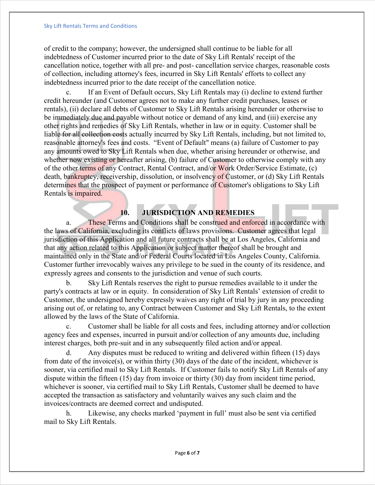of credit to the company; however, the undersigned shall continue to be liable for all indebtedness of Customer incurred prior to the date of Sky Lift Rentals' receipt of the cancellation notice, together with all pre- and post- cancellation service charges, reasonable costs of collection, including attorney's fees, incurred in Sky Lift Rentals' efforts to collect any indebtedness incurred prior to the date receipt of the cancellation notice.

c. If an Event of Default occurs, Sky Lift Rentals may (i) decline to extend further credit hereunder (and Customer agrees not to make any further credit purchases, leases or rentals), (ii) declare all debts of Customer to Sky Lift Rentals arising hereunder or otherwise to be immediately due and payable without notice or demand of any kind, and (iii) exercise any other rights and remedies of Sky Lift Rentals, whether in law or in equity. Customer shall be liable for all collection costs actually incurred by Sky Lift Rentals, including, but not limited to, reasonable attorney's fees and costs. "Event of Default" means (a) failure of Customer to pay any amounts owed to Sky Lift Rentals when due, whether arising hereunder or otherwise, and whether now existing or hereafter arising, (b) failure of Customer to otherwise comply with any of the other terms of any Contract, Rental Contract, and/or Work Order/Service Estimate, (c) death, bankruptcy, receivership, dissolution, or insolvency of Customer, or (d) Sky Lift Rentals determines that the prospect of payment or performance of Customer's obligations to Sky Lift Rentals is impaired.

# **10. JURISDICTION AND REMEDIES**

a. These Terms and Conditions shall be construed and enforced in accordance with the laws of California, excluding its conflicts of laws provisions. Customer agrees that legal jurisdiction of this Application and all future contracts shall be at Los Angeles, California and that any action related to this Application or subject matter thereof shall be brought and maintained only in the State and/or Federal Courts located in Los Angeles County, California. Customer further irrevocably waives any privilege to be sued in the county of its residence, and expressly agrees and consents to the jurisdiction and venue of such courts.

b. Sky Lift Rentals reserves the right to pursue remedies available to it under the party's contracts at law or in equity. In consideration of Sky Lift Rentals' extension of credit to Customer, the undersigned hereby expressly waives any right of trial by jury in any proceeding arising out of, or relating to, any Contract between Customer and Sky Lift Rentals, to the extent allowed by the laws of the State of California.

c. Customer shall be liable for all costs and fees, including attorney and/or collection agency fees and expenses, incurred in pursuit and/or collection of any amounts due, including interest charges, both pre-suit and in any subsequently filed action and/or appeal.

d. Any disputes must be reduced to writing and delivered within fifteen (15) days from date of the invoice(s), or within thirty (30) days of the date of the incident, whichever is sooner, via certified mail to Sky Lift Rentals. If Customer fails to notify Sky Lift Rentals of any dispute within the fifteen (15) day from invoice or thirty (30) day from incident time period, whichever is sooner, via certified mail to Sky Lift Rentals, Customer shall be deemed to have accepted the transaction as satisfactory and voluntarily waives any such claim and the invoices/contracts are deemed correct and undisputed.

h. Likewise, any checks marked 'payment in full' must also be sent via certified mail to Sky Lift Rentals.